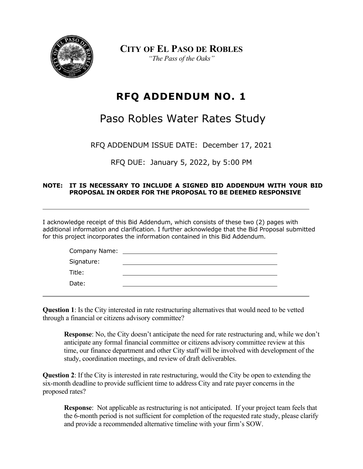

**CITY OF EL PASO DE ROBLES** *"The Pass of the Oaks"*

## **RFQ ADDENDUM NO. 1**

## Paso Robles Water Rates Study

RFQ ADDENDUM ISSUE DATE: December 17, 2021

RFQ DUE: January 5, 2022, by 5:00 PM

## **NOTE: IT IS NECESSARY TO INCLUDE A SIGNED BID ADDENDUM WITH YOUR BID PROPOSAL IN ORDER FOR THE PROPOSAL TO BE DEEMED RESPONSIVE**

I acknowledge receipt of this Bid Addendum, which consists of these two (2) pages with additional information and clarification. I further acknowledge that the Bid Proposal submitted for this project incorporates the information contained in this Bid Addendum.

| Company Name: |  |
|---------------|--|
| Signature:    |  |
| Title:        |  |
| Date:         |  |

**Question 1**: Is the City interested in rate restructuring alternatives that would need to be vetted through a financial or citizens advisory committee?

**Response**: No, the City doesn't anticipate the need for rate restructuring and, while we don't anticipate any formal financial committee or citizens advisory committee review at this time, our finance department and other City staff will be involved with development of the study, coordination meetings, and review of draft deliverables.

**Question 2**: If the City is interested in rate restructuring, would the City be open to extending the six-month deadline to provide sufficient time to address City and rate payer concerns in the proposed rates?

**Response**: Not applicable as restructuring is not anticipated. If your project team feels that the 6-month period is not sufficient for completion of the requested rate study, please clarify and provide a recommended alternative timeline with your firm's SOW.